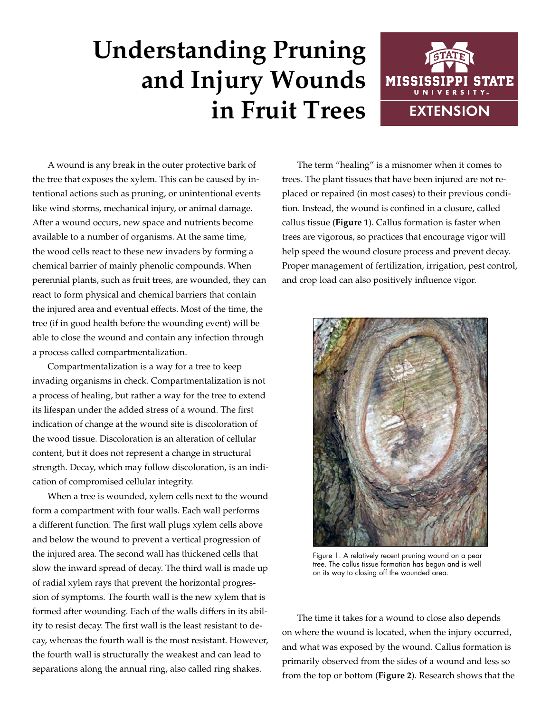## **Understanding Pruning and Injury Wounds in Fruit Trees**



A wound is any break in the outer protective bark of the tree that exposes the xylem. This can be caused by intentional actions such as pruning, or unintentional events like wind storms, mechanical injury, or animal damage. After a wound occurs, new space and nutrients become available to a number of organisms. At the same time, the wood cells react to these new invaders by forming a chemical barrier of mainly phenolic compounds. When perennial plants, such as fruit trees, are wounded, they can react to form physical and chemical barriers that contain the injured area and eventual effects. Most of the time, the tree (if in good health before the wounding event) will be able to close the wound and contain any infection through a process called compartmentalization.

Compartmentalization is a way for a tree to keep invading organisms in check. Compartmentalization is not a process of healing, but rather a way for the tree to extend its lifespan under the added stress of a wound. The first indication of change at the wound site is discoloration of the wood tissue. Discoloration is an alteration of cellular content, but it does not represent a change in structural strength. Decay, which may follow discoloration, is an indication of compromised cellular integrity.

When a tree is wounded, xylem cells next to the wound form a compartment with four walls. Each wall performs a different function. The first wall plugs xylem cells above and below the wound to prevent a vertical progression of the injured area. The second wall has thickened cells that slow the inward spread of decay. The third wall is made up of radial xylem rays that prevent the horizontal progression of symptoms. The fourth wall is the new xylem that is formed after wounding. Each of the walls differs in its ability to resist decay. The first wall is the least resistant to decay, whereas the fourth wall is the most resistant. However, the fourth wall is structurally the weakest and can lead to separations along the annual ring, also called ring shakes.

The term "healing" is a misnomer when it comes to trees. The plant tissues that have been injured are not replaced or repaired (in most cases) to their previous condition. Instead, the wound is confined in a closure, called callus tissue (**Figure 1**). Callus formation is faster when trees are vigorous, so practices that encourage vigor will help speed the wound closure process and prevent decay. Proper management of fertilization, irrigation, pest control, and crop load can also positively influence vigor.



Figure 1. A relatively recent pruning wound on a pear tree. The callus tissue formation has begun and is well on its way to closing off the wounded area.

The time it takes for a wound to close also depends on where the wound is located, when the injury occurred, and what was exposed by the wound. Callus formation is primarily observed from the sides of a wound and less so from the top or bottom (**Figure 2**). Research shows that the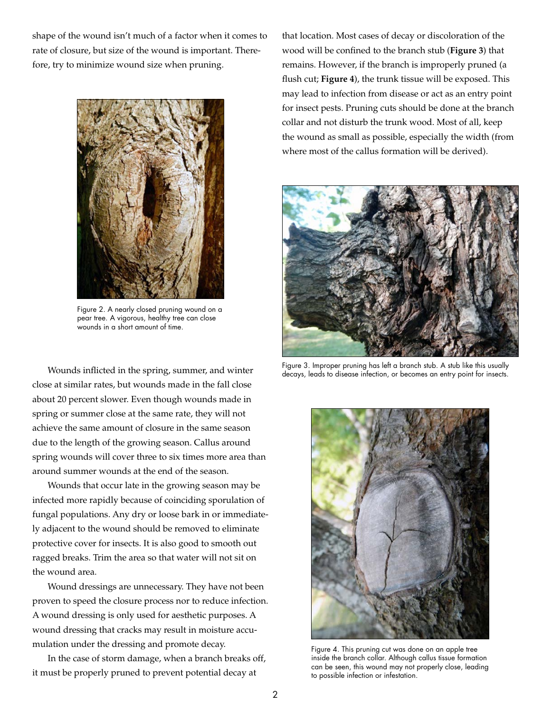shape of the wound isn't much of a factor when it comes to rate of closure, but size of the wound is important. Therefore, try to minimize wound size when pruning.



Figure 2. A nearly closed pruning wound on a pear tree. A vigorous, healthy tree can close wounds in a short amount of time.

Wounds inflicted in the spring, summer, and winter close at similar rates, but wounds made in the fall close about 20 percent slower. Even though wounds made in spring or summer close at the same rate, they will not achieve the same amount of closure in the same season due to the length of the growing season. Callus around spring wounds will cover three to six times more area than around summer wounds at the end of the season.

Wounds that occur late in the growing season may be infected more rapidly because of coinciding sporulation of fungal populations. Any dry or loose bark in or immediately adjacent to the wound should be removed to eliminate protective cover for insects. It is also good to smooth out ragged breaks. Trim the area so that water will not sit on the wound area.

Wound dressings are unnecessary. They have not been proven to speed the closure process nor to reduce infection. A wound dressing is only used for aesthetic purposes. A wound dressing that cracks may result in moisture accumulation under the dressing and promote decay.

In the case of storm damage, when a branch breaks off, it must be properly pruned to prevent potential decay at

that location. Most cases of decay or discoloration of the wood will be confined to the branch stub (**Figure 3**) that remains. However, if the branch is improperly pruned (a flush cut; **Figure 4**), the trunk tissue will be exposed. This may lead to infection from disease or act as an entry point for insect pests. Pruning cuts should be done at the branch collar and not disturb the trunk wood. Most of all, keep the wound as small as possible, especially the width (from where most of the callus formation will be derived).



Figure 3. Improper pruning has left a branch stub. A stub like this usually decays, leads to disease infection, or becomes an entry point for insects.



Figure 4. This pruning cut was done on an apple tree inside the branch collar. Although callus tissue formation can be seen, this wound may not properly close, leading to possible infection or infestation.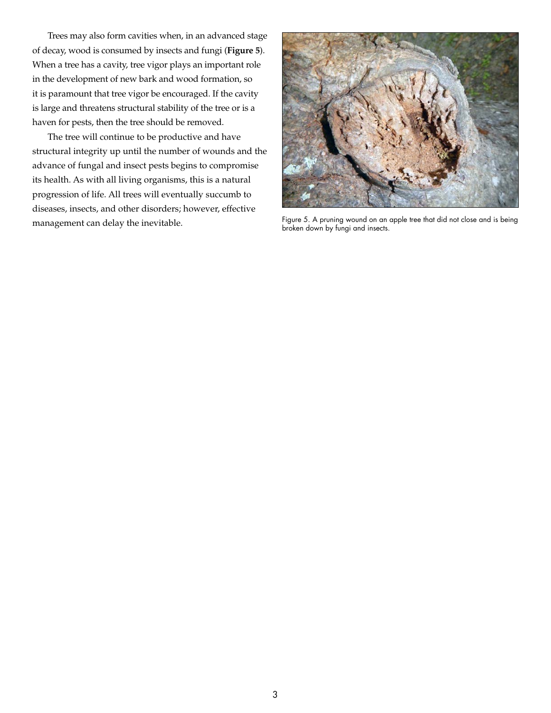Trees may also form cavities when, in an advanced stage of decay, wood is consumed by insects and fungi (**Figure 5**). When a tree has a cavity, tree vigor plays an important role in the development of new bark and wood formation, so it is paramount that tree vigor be encouraged. If the cavity is large and threatens structural stability of the tree or is a haven for pests, then the tree should be removed.

The tree will continue to be productive and have structural integrity up until the number of wounds and the advance of fungal and insect pests begins to compromise its health. As with all living organisms, this is a natural progression of life. All trees will eventually succumb to diseases, insects, and other disorders; however, effective management can delay the inevitable.



Figure 5. A pruning wound on an apple tree that did not close and is being broken down by fungi and insects.